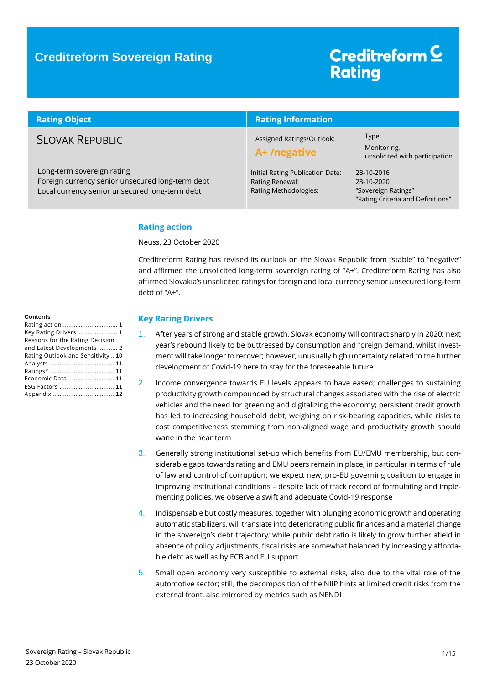# Creditreform<sup>C</sup> **Rating**

| <b>Rating Object</b>                                                                                                             | <b>Rating Information</b>                                                    |                                                                                      |
|----------------------------------------------------------------------------------------------------------------------------------|------------------------------------------------------------------------------|--------------------------------------------------------------------------------------|
| <b>SLOVAK REPUBLIC</b>                                                                                                           | Assigned Ratings/Outlook:<br>A+/negative                                     | Type:<br>Monitoring,<br>unsolicited with participation                               |
| Long-term sovereign rating<br>Foreign currency senior unsecured long-term debt<br>Local currency senior unsecured long-term debt | Initial Rating Publication Date:<br>Rating Renewal:<br>Rating Methodologies: | 28-10-2016<br>23-10-2020<br>"Sovereign Ratings"<br>"Rating Criteria and Definitions" |

### <span id="page-0-0"></span>**Rating action**

Neuss, 23 October 2020

Creditreform Rating has revised its outlook on the Slovak Republic from "stable" to "negative" and affirmed the unsolicited long-term sovereign rating of "A+". Creditreform Rating has also affirmed Slovakia's unsolicited ratings for foreign and local currency senior unsecured long-term debt of "A+".

### <span id="page-0-1"></span>**Key Rating Drivers**

- 1. After years of strong and stable growth, Slovak economy will contract sharply in 2020; next year's rebound likely to be buttressed by consumption and foreign demand, whilst investment will take longer to recover; however, unusually high uncertainty related to the further development of Covid-19 here to stay for the foreseeable future
- 2. Income convergence towards EU levels appears to have eased; challenges to sustaining productivity growth compounded by structural changes associated with the rise of electric vehicles and the need for greening and digitalizing the economy; persistent credit growth has led to increasing household debt, weighing on risk-bearing capacities, while risks to cost competitiveness stemming from non-aligned wage and productivity growth should wane in the near term
- 3. Generally strong institutional set-up which benefits from EU/EMU membership, but considerable gaps towards rating and EMU peers remain in place, in particular in terms of rule of law and control of corruption; we expect new, pro-EU governing coalition to engage in improving institutional conditions – despite lack of track record of formulating and implementing policies, we observe a swift and adequate Covid-19 response
- 4. Indispensable but costly measures, together with plunging economic growth and operating automatic stabilizers, will translate into deteriorating public finances and a material change in the sovereign's debt trajectory; while public debt ratio is likely to grow further afield in absence of policy adjustments, fiscal risks are somewhat balanced by increasingly affordable debt as well as by ECB and EU support
- 5. Small open economy very susceptible to external risks, also due to the vital role of the automotive sector; still, the decomposition of the NIIP hints at limited credit risks from the external front, also mirrored by metrics such as NENDI

#### **Contents**

| Key Rating Drivers  1              |
|------------------------------------|
| Reasons for the Rating Decision    |
| and Latest Developments  2         |
| Rating Outlook and Sensitivity  10 |
|                                    |
|                                    |
| Economic Data  11                  |
|                                    |
|                                    |
|                                    |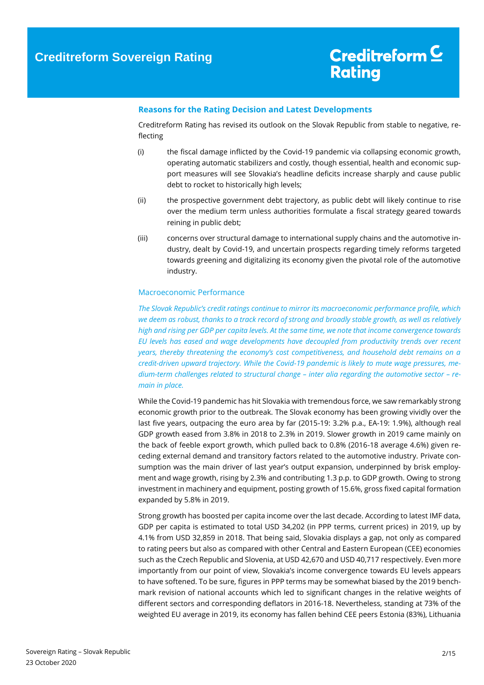### <span id="page-1-0"></span>**Reasons for the Rating Decision and Latest Developments**

Creditreform Rating has revised its outlook on the Slovak Republic from stable to negative, reflecting

- (i) the fiscal damage inflicted by the Covid-19 pandemic via collapsing economic growth, operating automatic stabilizers and costly, though essential, health and economic support measures will see Slovakia's headline deficits increase sharply and cause public debt to rocket to historically high levels;
- (ii) the prospective government debt trajectory, as public debt will likely continue to rise over the medium term unless authorities formulate a fiscal strategy geared towards reining in public debt;
- (iii) concerns over structural damage to international supply chains and the automotive industry, dealt by Covid-19, and uncertain prospects regarding timely reforms targeted towards greening and digitalizing its economy given the pivotal role of the automotive industry.

#### Macroeconomic Performance

*The Slovak Republic's credit ratings continue to mirror its macroeconomic performance profile, which we deem as robust, thanks to a track record of strong and broadly stable growth, as well as relatively high and rising per GDP per capita levels. At the same time, we note that income convergence towards EU levels has eased and wage developments have decoupled from productivity trends over recent years, thereby threatening the economy's cost competitiveness, and household debt remains on a credit-driven upward trajectory. While the Covid-19 pandemic is likely to mute wage pressures, medium-term challenges related to structural change – inter alia regarding the automotive sector – remain in place.*

While the Covid-19 pandemic has hit Slovakia with tremendous force, we saw remarkably strong economic growth prior to the outbreak. The Slovak economy has been growing vividly over the last five years, outpacing the euro area by far (2015-19: 3.2% p.a., EA-19: 1.9%), although real GDP growth eased from 3.8% in 2018 to 2.3% in 2019. Slower growth in 2019 came mainly on the back of feeble export growth, which pulled back to 0.8% (2016-18 average 4.6%) given receding external demand and transitory factors related to the automotive industry. Private consumption was the main driver of last year's output expansion, underpinned by brisk employment and wage growth, rising by 2.3% and contributing 1.3 p.p. to GDP growth. Owing to strong investment in machinery and equipment, posting growth of 15.6%, gross fixed capital formation expanded by 5.8% in 2019.

Strong growth has boosted per capita income over the last decade. According to latest IMF data, GDP per capita is estimated to total USD 34,202 (in PPP terms, current prices) in 2019, up by 4.1% from USD 32,859 in 2018. That being said, Slovakia displays a gap, not only as compared to rating peers but also as compared with other Central and Eastern European (CEE) economies such as the Czech Republic and Slovenia, at USD 42,670 and USD 40,717 respectively. Even more importantly from our point of view, Slovakia's income convergence towards EU levels appears to have softened. To be sure, figures in PPP terms may be somewhat biased by the 2019 benchmark revision of national accounts which led to significant changes in the relative weights of different sectors and corresponding deflators in 2016-18. Nevertheless, standing at 73% of the weighted EU average in 2019, its economy has fallen behind CEE peers Estonia (83%), Lithuania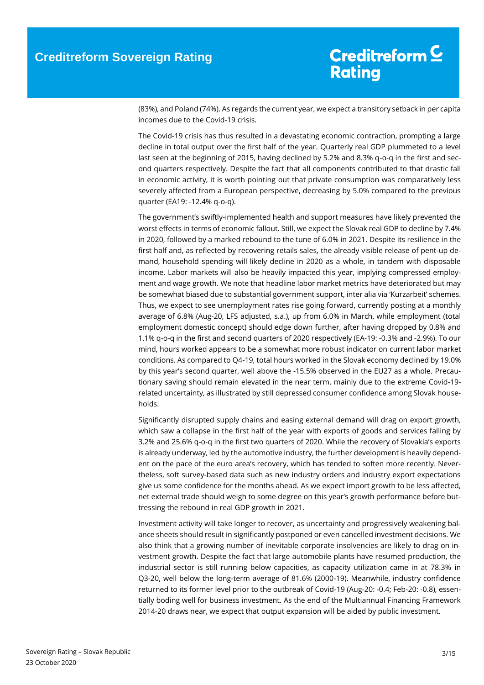(83%), and Poland (74%). As regards the current year, we expect a transitory setback in per capita incomes due to the Covid-19 crisis.

The Covid-19 crisis has thus resulted in a devastating economic contraction, prompting a large decline in total output over the first half of the year. Quarterly real GDP plummeted to a level last seen at the beginning of 2015, having declined by 5.2% and 8.3% q-o-q in the first and second quarters respectively. Despite the fact that all components contributed to that drastic fall in economic activity, it is worth pointing out that private consumption was comparatively less severely affected from a European perspective, decreasing by 5.0% compared to the previous quarter (EA19: -12.4% q-o-q).

The government's swiftly-implemented health and support measures have likely prevented the worst effects in terms of economic fallout. Still, we expect the Slovak real GDP to decline by 7.4% in 2020, followed by a marked rebound to the tune of 6.0% in 2021. Despite its resilience in the first half and, as reflected by recovering retails sales, the already visible release of pent-up demand, household spending will likely decline in 2020 as a whole, in tandem with disposable income. Labor markets will also be heavily impacted this year, implying compressed employment and wage growth. We note that headline labor market metrics have deteriorated but may be somewhat biased due to substantial government support, inter alia via 'Kurzarbeit' schemes. Thus, we expect to see unemployment rates rise going forward, currently posting at a monthly average of 6.8% (Aug-20, LFS adjusted, s.a.), up from 6.0% in March, while employment (total employment domestic concept) should edge down further, after having dropped by 0.8% and 1.1% q-o-q in the first and second quarters of 2020 respectively (EA-19: -0.3% and -2.9%). To our mind, hours worked appears to be a somewhat more robust indicator on current labor market conditions. As compared to Q4-19, total hours worked in the Slovak economy declined by 19.0% by this year's second quarter, well above the -15.5% observed in the EU27 as a whole. Precautionary saving should remain elevated in the near term, mainly due to the extreme Covid-19 related uncertainty, as illustrated by still depressed consumer confidence among Slovak households.

Significantly disrupted supply chains and easing external demand will drag on export growth, which saw a collapse in the first half of the year with exports of goods and services falling by 3.2% and 25.6% q-o-q in the first two quarters of 2020. While the recovery of Slovakia's exports is already underway, led by the automotive industry, the further development is heavily dependent on the pace of the euro area's recovery, which has tended to soften more recently. Nevertheless, soft survey-based data such as new industry orders and industry export expectations give us some confidence for the months ahead. As we expect import growth to be less affected, net external trade should weigh to some degree on this year's growth performance before buttressing the rebound in real GDP growth in 2021.

Investment activity will take longer to recover, as uncertainty and progressively weakening balance sheets should result in significantly postponed or even cancelled investment decisions. We also think that a growing number of inevitable corporate insolvencies are likely to drag on investment growth. Despite the fact that large automobile plants have resumed production, the industrial sector is still running below capacities, as capacity utilization came in at 78.3% in Q3-20, well below the long-term average of 81.6% (2000-19). Meanwhile, industry confidence returned to its former level prior to the outbreak of Covid-19 (Aug-20: -0.4; Feb-20: -0.8), essentially boding well for business investment. As the end of the Multiannual Financing Framework 2014-20 draws near, we expect that output expansion will be aided by public investment.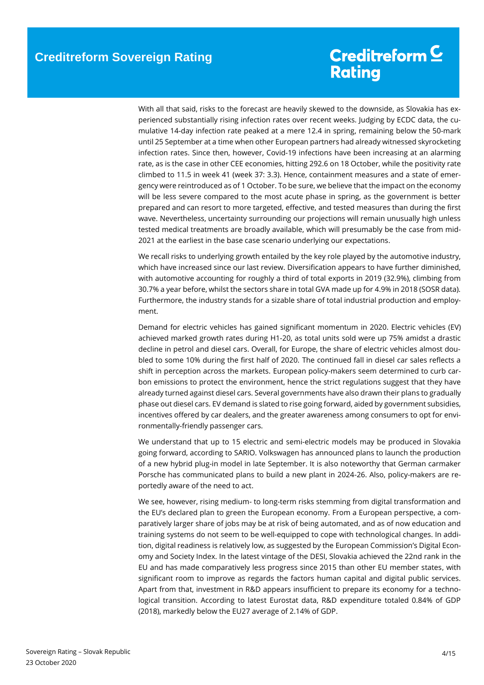With all that said, risks to the forecast are heavily skewed to the downside, as Slovakia has experienced substantially rising infection rates over recent weeks. Judging by ECDC data, the cumulative 14-day infection rate peaked at a mere 12.4 in spring, remaining below the 50-mark until 25 September at a time when other European partners had already witnessed skyrocketing infection rates. Since then, however, Covid-19 infections have been increasing at an alarming rate, as is the case in other CEE economies, hitting 292.6 on 18 October, while the positivity rate climbed to 11.5 in week 41 (week 37: 3.3). Hence, containment measures and a state of emergency were reintroduced as of 1 October. To be sure, we believe that the impact on the economy will be less severe compared to the most acute phase in spring, as the government is better prepared and can resort to more targeted, effective, and tested measures than during the first wave. Nevertheless, uncertainty surrounding our projections will remain unusually high unless tested medical treatments are broadly available, which will presumably be the case from mid-2021 at the earliest in the base case scenario underlying our expectations.

We recall risks to underlying growth entailed by the key role played by the automotive industry, which have increased since our last review. Diversification appears to have further diminished, with automotive accounting for roughly a third of total exports in 2019 (32.9%), climbing from 30.7% a year before, whilst the sectors share in total GVA made up for 4.9% in 2018 (SOSR data). Furthermore, the industry stands for a sizable share of total industrial production and employment.

Demand for electric vehicles has gained significant momentum in 2020. Electric vehicles (EV) achieved marked growth rates during H1-20, as total units sold were up 75% amidst a drastic decline in petrol and diesel cars. Overall, for Europe, the share of electric vehicles almost doubled to some 10% during the first half of 2020. The continued fall in diesel car sales reflects a shift in perception across the markets. European policy-makers seem determined to curb carbon emissions to protect the environment, hence the strict regulations suggest that they have already turned against diesel cars. Several governments have also drawn their plans to gradually phase out diesel cars. EV demand is slated to rise going forward, aided by government subsidies, incentives offered by car dealers, and the greater awareness among consumers to opt for environmentally-friendly passenger cars.

We understand that up to 15 electric and semi-electric models may be produced in Slovakia going forward, according to SARIO. Volkswagen has announced plans to launch the production of a new hybrid plug-in model in late September. It is also noteworthy that German carmaker Porsche has communicated plans to build a new plant in 2024-26. Also, policy-makers are reportedly aware of the need to act.

We see, however, rising medium- to long-term risks stemming from digital transformation and the EU's declared plan to green the European economy. From a European perspective, a comparatively larger share of jobs may be at risk of being automated, and as of now education and training systems do not seem to be well-equipped to cope with technological changes. In addition, digital readiness is relatively low, as suggested by the European Commission's Digital Economy and Society Index. In the latest vintage of the DESI, Slovakia achieved the 22nd rank in the EU and has made comparatively less progress since 2015 than other EU member states, with significant room to improve as regards the factors human capital and digital public services. Apart from that, investment in R&D appears insufficient to prepare its economy for a technological transition. According to latest Eurostat data, R&D expenditure totaled 0.84% of GDP (2018), markedly below the EU27 average of 2.14% of GDP.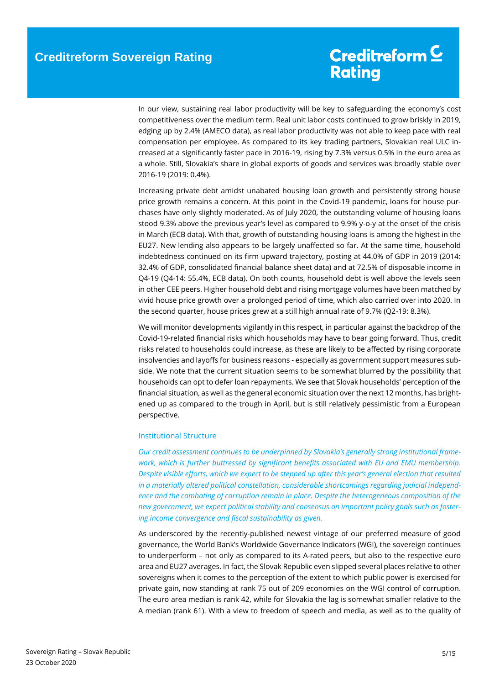In our view, sustaining real labor productivity will be key to safeguarding the economy's cost competitiveness over the medium term. Real unit labor costs continued to grow briskly in 2019, edging up by 2.4% (AMECO data), as real labor productivity was not able to keep pace with real compensation per employee. As compared to its key trading partners, Slovakian real ULC increased at a significantly faster pace in 2016-19, rising by 7.3% versus 0.5% in the euro area as a whole. Still, Slovakia's share in global exports of goods and services was broadly stable over 2016-19 (2019: 0.4%).

Increasing private debt amidst unabated housing loan growth and persistently strong house price growth remains a concern. At this point in the Covid-19 pandemic, loans for house purchases have only slightly moderated. As of July 2020, the outstanding volume of housing loans stood 9.3% above the previous year's level as compared to 9.9% y-o-y at the onset of the crisis in March (ECB data). With that, growth of outstanding housing loans is among the highest in the EU27. New lending also appears to be largely unaffected so far. At the same time, household indebtedness continued on its firm upward trajectory, posting at 44.0% of GDP in 2019 (2014: 32.4% of GDP, consolidated financial balance sheet data) and at 72.5% of disposable income in Q4-19 (Q4-14: 55.4%, ECB data). On both counts, household debt is well above the levels seen in other CEE peers. Higher household debt and rising mortgage volumes have been matched by vivid house price growth over a prolonged period of time, which also carried over into 2020. In the second quarter, house prices grew at a still high annual rate of 9.7% (Q2-19: 8.3%).

We will monitor developments vigilantly in this respect, in particular against the backdrop of the Covid-19-related financial risks which households may have to bear going forward. Thus, credit risks related to households could increase, as these are likely to be affected by rising corporate insolvencies and layoffs for business reasons - especially as government support measures subside. We note that the current situation seems to be somewhat blurred by the possibility that households can opt to defer loan repayments. We see that Slovak households' perception of the financial situation, as well as the general economic situation over the next 12 months, has brightened up as compared to the trough in April, but is still relatively pessimistic from a European perspective.

### Institutional Structure

*Our credit assessment continues to be underpinned by Slovakia's generally strong institutional framework, which is further buttressed by significant benefits associated with EU and EMU membership. Despite visible efforts, which we expect to be stepped up after this year's general election that resulted in a materially altered political constellation, considerable shortcomings regarding judicial independence and the combating of corruption remain in place. Despite the heterogeneous composition of the new government, we expect political stability and consensus on important policy goals such as fostering income convergence and fiscal sustainability as given.*

As underscored by the recently-published newest vintage of our preferred measure of good governance, the World Bank's Worldwide Governance Indicators (WGI), the sovereign continues to underperform – not only as compared to its A-rated peers, but also to the respective euro area and EU27 averages. In fact, the Slovak Republic even slipped several places relative to other sovereigns when it comes to the perception of the extent to which public power is exercised for private gain, now standing at rank 75 out of 209 economies on the WGI control of corruption. The euro area median is rank 42, while for Slovakia the lag is somewhat smaller relative to the A median (rank 61). With a view to freedom of speech and media, as well as to the quality of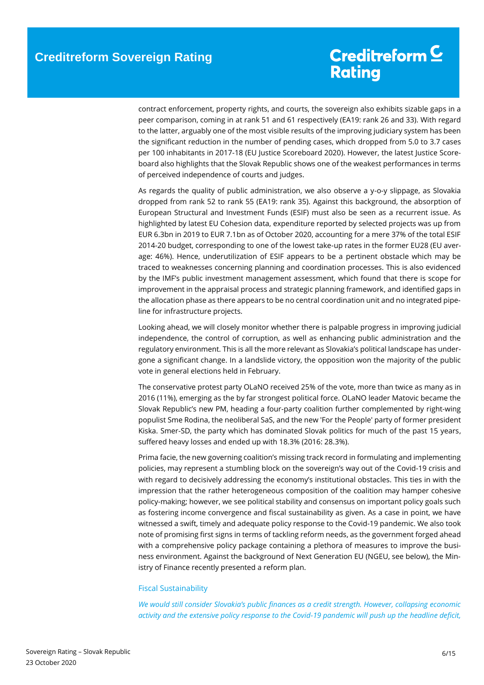contract enforcement, property rights, and courts, the sovereign also exhibits sizable gaps in a peer comparison, coming in at rank 51 and 61 respectively (EA19: rank 26 and 33). With regard to the latter, arguably one of the most visible results of the improving judiciary system has been the significant reduction in the number of pending cases, which dropped from 5.0 to 3.7 cases per 100 inhabitants in 2017-18 (EU Justice Scoreboard 2020). However, the latest Justice Scoreboard also highlights that the Slovak Republic shows one of the weakest performances in terms of perceived independence of courts and judges.

As regards the quality of public administration, we also observe a y-o-y slippage, as Slovakia dropped from rank 52 to rank 55 (EA19: rank 35). Against this background, the absorption of European Structural and Investment Funds (ESIF) must also be seen as a recurrent issue. As highlighted by latest EU Cohesion data, expenditure reported by selected projects was up from EUR 6.3bn in 2019 to EUR 7.1bn as of October 2020, accounting for a mere 37% of the total ESIF 2014-20 budget, corresponding to one of the lowest take-up rates in the former EU28 (EU average: 46%). Hence, underutilization of ESIF appears to be a pertinent obstacle which may be traced to weaknesses concerning planning and coordination processes. This is also evidenced by the IMF's public investment management assessment, which found that there is scope for improvement in the appraisal process and strategic planning framework, and identified gaps in the allocation phase as there appears to be no central coordination unit and no integrated pipeline for infrastructure projects.

Looking ahead, we will closely monitor whether there is palpable progress in improving judicial independence, the control of corruption, as well as enhancing public administration and the regulatory environment. This is all the more relevant as Slovakia's political landscape has undergone a significant change. In a landslide victory, the opposition won the majority of the public vote in general elections held in February.

The conservative protest party OLaNO received 25% of the vote, more than twice as many as in 2016 (11%), emerging as the by far strongest political force. OLaNO leader Matovic became the Slovak Republic's new PM, heading a four-party coalition further complemented by right-wing populist Sme Rodina, the neoliberal SaS, and the new 'For the People' party of former president Kiska. Smer-SD, the party which has dominated Slovak politics for much of the past 15 years, suffered heavy losses and ended up with 18.3% (2016: 28.3%).

Prima facie, the new governing coalition's missing track record in formulating and implementing policies, may represent a stumbling block on the sovereign's way out of the Covid-19 crisis and with regard to decisively addressing the economy's institutional obstacles. This ties in with the impression that the rather heterogeneous composition of the coalition may hamper cohesive policy-making; however, we see political stability and consensus on important policy goals such as fostering income convergence and fiscal sustainability as given. As a case in point, we have witnessed a swift, timely and adequate policy response to the Covid-19 pandemic. We also took note of promising first signs in terms of tackling reform needs, as the government forged ahead with a comprehensive policy package containing a plethora of measures to improve the business environment. Against the background of Next Generation EU (NGEU, see below), the Ministry of Finance recently presented a reform plan.

### Fiscal Sustainability

*We would still consider Slovakia's public finances as a credit strength. However, collapsing economic activity and the extensive policy response to the Covid-19 pandemic will push up the headline deficit,*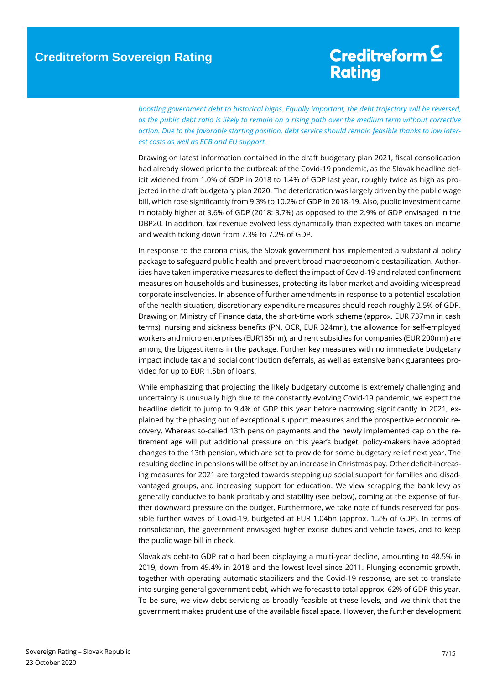## Creditreform<sup>C</sup> **Rating**

*boosting government debt to historical highs. Equally important, the debt trajectory will be reversed, as the public debt ratio is likely to remain on a rising path over the medium term without corrective*  action. Due to the favorable starting position, debt service should remain feasible thanks to low inter*est costs as well as ECB and EU support.*

Drawing on latest information contained in the draft budgetary plan 2021, fiscal consolidation had already slowed prior to the outbreak of the Covid-19 pandemic, as the Slovak headline deficit widened from 1.0% of GDP in 2018 to 1.4% of GDP last year, roughly twice as high as projected in the draft budgetary plan 2020. The deterioration was largely driven by the public wage bill, which rose significantly from 9.3% to 10.2% of GDP in 2018-19. Also, public investment came in notably higher at 3.6% of GDP (2018: 3.7%) as opposed to the 2.9% of GDP envisaged in the DBP20. In addition, tax revenue evolved less dynamically than expected with taxes on income and wealth ticking down from 7.3% to 7.2% of GDP.

In response to the corona crisis, the Slovak government has implemented a substantial policy package to safeguard public health and prevent broad macroeconomic destabilization. Authorities have taken imperative measures to deflect the impact of Covid-19 and related confinement measures on households and businesses, protecting its labor market and avoiding widespread corporate insolvencies. In absence of further amendments in response to a potential escalation of the health situation, discretionary expenditure measures should reach roughly 2.5% of GDP. Drawing on Ministry of Finance data, the short-time work scheme (approx. EUR 737mn in cash terms), nursing and sickness benefits (PN, OCR, EUR 324mn), the allowance for self-employed workers and micro enterprises (EUR185mn), and rent subsidies for companies (EUR 200mn) are among the biggest items in the package. Further key measures with no immediate budgetary impact include tax and social contribution deferrals, as well as extensive bank guarantees provided for up to EUR 1.5bn of loans.

While emphasizing that projecting the likely budgetary outcome is extremely challenging and uncertainty is unusually high due to the constantly evolving Covid-19 pandemic, we expect the headline deficit to jump to 9.4% of GDP this year before narrowing significantly in 2021, explained by the phasing out of exceptional support measures and the prospective economic recovery. Whereas so-called 13th pension payments and the newly implemented cap on the retirement age will put additional pressure on this year's budget, policy-makers have adopted changes to the 13th pension, which are set to provide for some budgetary relief next year. The resulting decline in pensions will be offset by an increase in Christmas pay. Other deficit-increasing measures for 2021 are targeted towards stepping up social support for families and disadvantaged groups, and increasing support for education. We view scrapping the bank levy as generally conducive to bank profitably and stability (see below), coming at the expense of further downward pressure on the budget. Furthermore, we take note of funds reserved for possible further waves of Covid-19, budgeted at EUR 1.04bn (approx. 1.2% of GDP). In terms of consolidation, the government envisaged higher excise duties and vehicle taxes, and to keep the public wage bill in check.

Slovakia's debt-to GDP ratio had been displaying a multi-year decline, amounting to 48.5% in 2019, down from 49.4% in 2018 and the lowest level since 2011. Plunging economic growth, together with operating automatic stabilizers and the Covid-19 response, are set to translate into surging general government debt, which we forecast to total approx. 62% of GDP this year. To be sure, we view debt servicing as broadly feasible at these levels, and we think that the government makes prudent use of the available fiscal space. However, the further development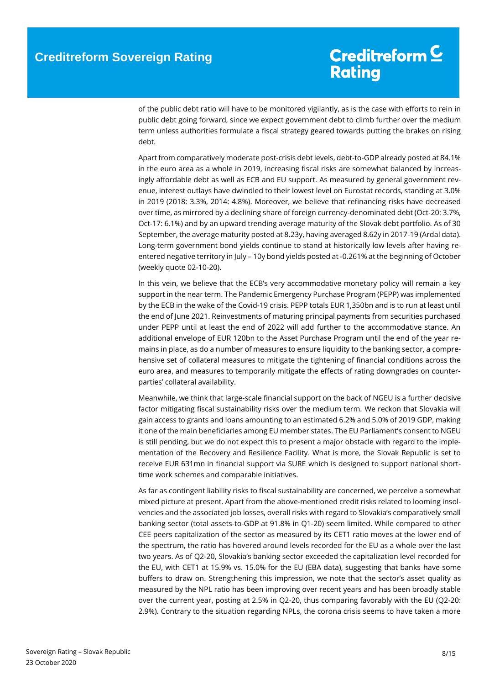of the public debt ratio will have to be monitored vigilantly, as is the case with efforts to rein in public debt going forward, since we expect government debt to climb further over the medium term unless authorities formulate a fiscal strategy geared towards putting the brakes on rising debt.

Apart from comparatively moderate post-crisis debt levels, debt-to-GDP already posted at 84.1% in the euro area as a whole in 2019, increasing fiscal risks are somewhat balanced by increasingly affordable debt as well as ECB and EU support. As measured by general government revenue, interest outlays have dwindled to their lowest level on Eurostat records, standing at 3.0% in 2019 (2018: 3.3%, 2014: 4.8%). Moreover, we believe that refinancing risks have decreased over time, as mirrored by a declining share of foreign currency-denominated debt (Oct-20: 3.7%, Oct-17: 6.1%) and by an upward trending average maturity of the Slovak debt portfolio. As of 30 September, the average maturity posted at 8.23y, having averaged 8.62y in 2017-19 (Ardal data). Long-term government bond yields continue to stand at historically low levels after having reentered negative territory in July – 10y bond yields posted at -0.261% at the beginning of October (weekly quote 02-10-20).

In this vein, we believe that the ECB's very accommodative monetary policy will remain a key support in the near term. The Pandemic Emergency Purchase Program (PEPP) was implemented by the ECB in the wake of the Covid-19 crisis. PEPP totals EUR 1,350bn and is to run at least until the end of June 2021. Reinvestments of maturing principal payments from securities purchased under PEPP until at least the end of 2022 will add further to the accommodative stance. An additional envelope of EUR 120bn to the Asset Purchase Program until the end of the year remains in place, as do a number of measures to ensure liquidity to the banking sector, a comprehensive set of collateral measures to mitigate the tightening of financial conditions across the euro area, and measures to temporarily mitigate the effects of rating downgrades on counterparties' collateral availability.

Meanwhile, we think that large-scale financial support on the back of NGEU is a further decisive factor mitigating fiscal sustainability risks over the medium term. We reckon that Slovakia will gain access to grants and loans amounting to an estimated 6.2% and 5.0% of 2019 GDP, making it one of the main beneficiaries among EU member states. The EU Parliament's consent to NGEU is still pending, but we do not expect this to present a major obstacle with regard to the implementation of the Recovery and Resilience Facility. What is more, the Slovak Republic is set to receive EUR 631mn in financial support via SURE which is designed to support national shorttime work schemes and comparable initiatives.

As far as contingent liability risks to fiscal sustainability are concerned, we perceive a somewhat mixed picture at present. Apart from the above-mentioned credit risks related to looming insolvencies and the associated job losses, overall risks with regard to Slovakia's comparatively small banking sector (total assets-to-GDP at 91.8% in Q1-20) seem limited. While compared to other CEE peers capitalization of the sector as measured by its CET1 ratio moves at the lower end of the spectrum, the ratio has hovered around levels recorded for the EU as a whole over the last two years. As of Q2-20, Slovakia's banking sector exceeded the capitalization level recorded for the EU, with CET1 at 15.9% vs. 15.0% for the EU (EBA data), suggesting that banks have some buffers to draw on. Strengthening this impression, we note that the sector's asset quality as measured by the NPL ratio has been improving over recent years and has been broadly stable over the current year, posting at 2.5% in Q2-20, thus comparing favorably with the EU (Q2-20: 2.9%). Contrary to the situation regarding NPLs, the corona crisis seems to have taken a more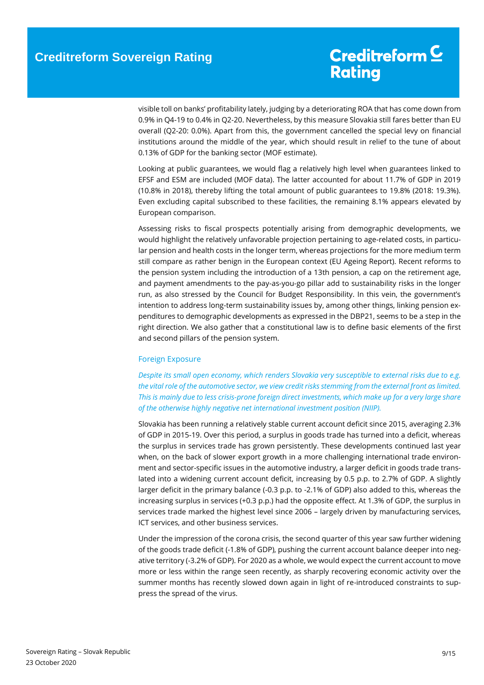visible toll on banks' profitability lately, judging by a deteriorating ROA that has come down from 0.9% in Q4-19 to 0.4% in Q2-20. Nevertheless, by this measure Slovakia still fares better than EU overall (Q2-20: 0.0%). Apart from this, the government cancelled the special levy on financial institutions around the middle of the year, which should result in relief to the tune of about 0.13% of GDP for the banking sector (MOF estimate).

Looking at public guarantees, we would flag a relatively high level when guarantees linked to EFSF and ESM are included (MOF data). The latter accounted for about 11.7% of GDP in 2019 (10.8% in 2018), thereby lifting the total amount of public guarantees to 19.8% (2018: 19.3%). Even excluding capital subscribed to these facilities, the remaining 8.1% appears elevated by European comparison.

Assessing risks to fiscal prospects potentially arising from demographic developments, we would highlight the relatively unfavorable projection pertaining to age-related costs, in particular pension and health costs in the longer term, whereas projections for the more medium term still compare as rather benign in the European context (EU Ageing Report). Recent reforms to the pension system including the introduction of a 13th pension, a cap on the retirement age, and payment amendments to the pay-as-you-go pillar add to sustainability risks in the longer run, as also stressed by the Council for Budget Responsibility. In this vein, the government's intention to address long-term sustainability issues by, among other things, linking pension expenditures to demographic developments as expressed in the DBP21, seems to be a step in the right direction. We also gather that a constitutional law is to define basic elements of the first and second pillars of the pension system.

### Foreign Exposure

*Despite its small open economy, which renders Slovakia very susceptible to external risks due to e.g. the vital role of the automotive sector, we view credit risks stemming from the external front as limited. This is mainly due to less crisis-prone foreign direct investments, which make up for a very large share of the otherwise highly negative net international investment position (NIIP).*

Slovakia has been running a relatively stable current account deficit since 2015, averaging 2.3% of GDP in 2015-19. Over this period, a surplus in goods trade has turned into a deficit, whereas the surplus in services trade has grown persistently. These developments continued last year when, on the back of slower export growth in a more challenging international trade environment and sector-specific issues in the automotive industry, a larger deficit in goods trade translated into a widening current account deficit, increasing by 0.5 p.p. to 2.7% of GDP. A slightly larger deficit in the primary balance (-0.3 p.p. to -2.1% of GDP) also added to this, whereas the increasing surplus in services (+0.3 p.p.) had the opposite effect. At 1.3% of GDP, the surplus in services trade marked the highest level since 2006 – largely driven by manufacturing services, ICT services, and other business services.

Under the impression of the corona crisis, the second quarter of this year saw further widening of the goods trade deficit (-1.8% of GDP), pushing the current account balance deeper into negative territory (-3.2% of GDP). For 2020 as a whole, we would expect the current account to move more or less within the range seen recently, as sharply recovering economic activity over the summer months has recently slowed down again in light of re-introduced constraints to suppress the spread of the virus.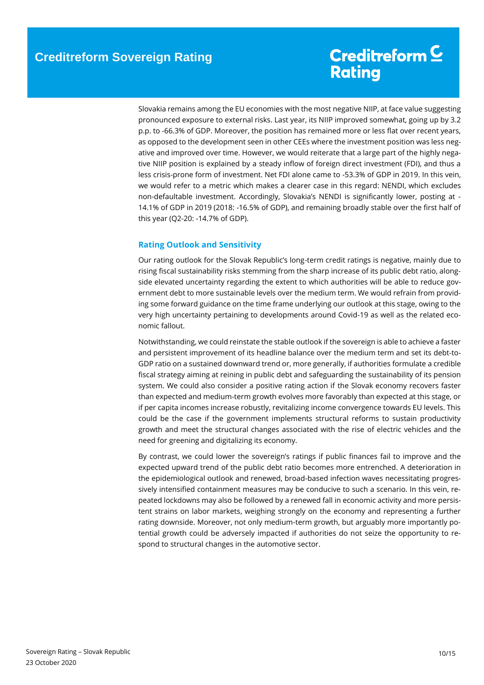Slovakia remains among the EU economies with the most negative NIIP, at face value suggesting pronounced exposure to external risks. Last year, its NIIP improved somewhat, going up by 3.2 p.p. to -66.3% of GDP. Moreover, the position has remained more or less flat over recent years, as opposed to the development seen in other CEEs where the investment position was less negative and improved over time. However, we would reiterate that a large part of the highly negative NIIP position is explained by a steady inflow of foreign direct investment (FDI), and thus a less crisis-prone form of investment. Net FDI alone came to -53.3% of GDP in 2019. In this vein, we would refer to a metric which makes a clearer case in this regard: NENDI, which excludes non-defaultable investment. Accordingly, Slovakia's NENDI is significantly lower, posting at - 14.1% of GDP in 2019 (2018: -16.5% of GDP), and remaining broadly stable over the first half of this year (Q2-20: -14.7% of GDP).

### <span id="page-9-0"></span>**Rating Outlook and Sensitivity**

Our rating outlook for the Slovak Republic's long-term credit ratings is negative, mainly due to rising fiscal sustainability risks stemming from the sharp increase of its public debt ratio, alongside elevated uncertainty regarding the extent to which authorities will be able to reduce government debt to more sustainable levels over the medium term. We would refrain from providing some forward guidance on the time frame underlying our outlook at this stage, owing to the very high uncertainty pertaining to developments around Covid-19 as well as the related economic fallout.

Notwithstanding, we could reinstate the stable outlook if the sovereign is able to achieve a faster and persistent improvement of its headline balance over the medium term and set its debt-to-GDP ratio on a sustained downward trend or, more generally, if authorities formulate a credible fiscal strategy aiming at reining in public debt and safeguarding the sustainability of its pension system. We could also consider a positive rating action if the Slovak economy recovers faster than expected and medium-term growth evolves more favorably than expected at this stage, or if per capita incomes increase robustly, revitalizing income convergence towards EU levels. This could be the case if the government implements structural reforms to sustain productivity growth and meet the structural changes associated with the rise of electric vehicles and the need for greening and digitalizing its economy.

By contrast, we could lower the sovereign's ratings if public finances fail to improve and the expected upward trend of the public debt ratio becomes more entrenched. A deterioration in the epidemiological outlook and renewed, broad-based infection waves necessitating progressively intensified containment measures may be conducive to such a scenario. In this vein, repeated lockdowns may also be followed by a renewed fall in economic activity and more persistent strains on labor markets, weighing strongly on the economy and representing a further rating downside. Moreover, not only medium-term growth, but arguably more importantly potential growth could be adversely impacted if authorities do not seize the opportunity to respond to structural changes in the automotive sector.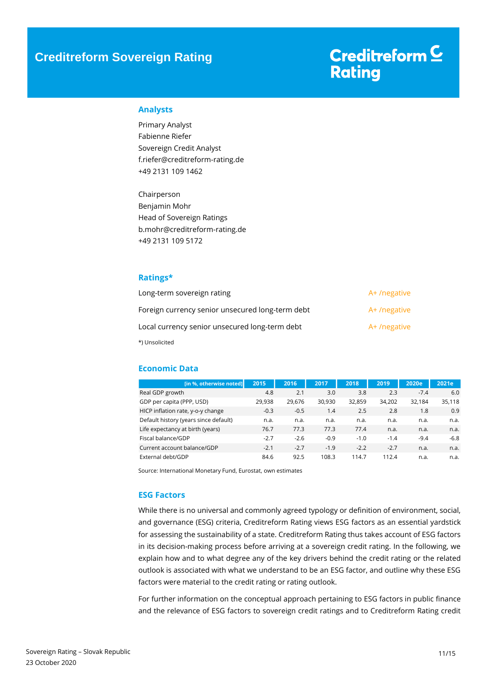## Creditreform<sup>C</sup> **Rating**

### <span id="page-10-0"></span>**Analysts**

Primary Analyst Fabienne Riefer Sovereign Credit Analyst f.riefer@creditreform-rating.de +49 2131 109 1462

Chairperson Benjamin Mohr Head of Sovereign Ratings b.mohr@creditreform-rating.de +49 2131 109 5172

### <span id="page-10-1"></span>**Ratings\***

| Long-term sovereign rating                       | A+/negative |
|--------------------------------------------------|-------------|
| Foreign currency senior unsecured long-term debt | A+/negative |
| Local currency senior unsecured long-term debt   | A+/negative |
| *) Unsolicited                                   |             |

### <span id="page-10-2"></span>**Economic Data**

| [in %, otherwise noted]               | 2015   | 2016   | 2017   | 2018   | 2019   | 2020e  | 2021e  |
|---------------------------------------|--------|--------|--------|--------|--------|--------|--------|
| Real GDP growth                       | 4.8    | 2.1    | 3.0    | 3.8    | 2.3    | $-7.4$ | 6.0    |
| GDP per capita (PPP, USD)             | 29.938 | 29.676 | 30.930 | 32.859 | 34.202 | 32,184 | 35,118 |
| HICP inflation rate, y-o-y change     | $-0.3$ | $-0.5$ | 1.4    | 2.5    | 2.8    | 1.8    | 0.9    |
| Default history (years since default) | n.a.   | n.a.   | n.a.   | n.a.   | n.a.   | n.a.   | n.a.   |
| Life expectancy at birth (years)      | 76.7   | 77.3   | 77.3   | 77.4   | n.a.   | n.a.   | n.a.   |
| Fiscal balance/GDP                    | $-2.7$ | $-2.6$ | $-0.9$ | $-1.0$ | $-1.4$ | $-9.4$ | $-6.8$ |
| Current account balance/GDP           | $-2.1$ | $-2.7$ | $-1.9$ | $-2.2$ | $-2.7$ | n.a.   | n.a.   |
| External debt/GDP                     | 84.6   | 92.5   | 108.3  | 114.7  | 112.4  | n.a.   | n.a.   |

Source: International Monetary Fund, Eurostat, own estimates

### <span id="page-10-3"></span>**ESG Factors**

While there is no universal and commonly agreed typology or definition of environment, social, and governance (ESG) criteria, Creditreform Rating views ESG factors as an essential yardstick for assessing the sustainability of a state. Creditreform Rating thus takes account of ESG factors in its decision-making process before arriving at a sovereign credit rating. In the following, we explain how and to what degree any of the key drivers behind the credit rating or the related outlook is associated with what we understand to be an ESG factor, and outline why these ESG factors were material to the credit rating or rating outlook.

For further information on the conceptual approach pertaining to ESG factors in public finance and the relevance of ESG factors to sovereign credit ratings and to Creditreform Rating credit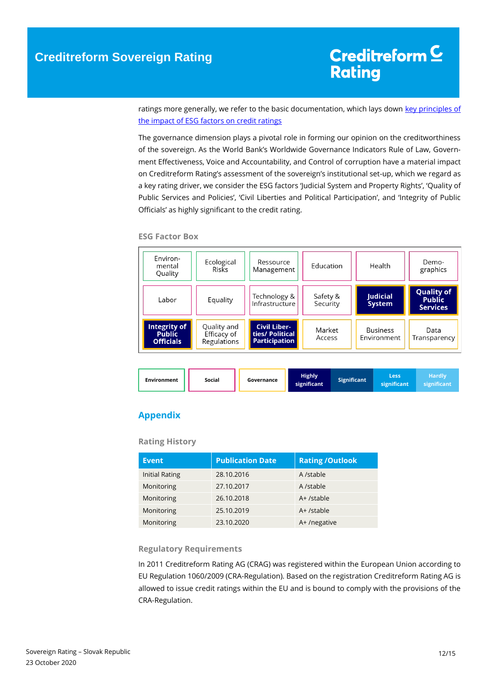ratings more generally, we refer to the basic documentation, which lays down key principles of [the impact of ESG factors on credit ratings](https://www.creditreform-rating.de/en/about-us/regulatory-requirements.html?file=files/content/downloads/Externes%20Rating/Regulatorische%20Anforderungen/EN/Ratingmethodiken%20EN/The%20Impact%20of%20ESG%20Factors%20on%20Credit%20Ratings.pdf)

The governance dimension plays a pivotal role in forming our opinion on the creditworthiness of the sovereign. As the World Bank's Worldwide Governance Indicators Rule of Law, Government Effectiveness, Voice and Accountability, and Control of corruption have a material impact on Creditreform Rating's assessment of the sovereign's institutional set-up, which we regard as a key rating driver, we consider the ESG factors 'Judicial System and Property Rights', 'Quality of Public Services and Policies', 'Civil Liberties and Political Participation', and 'Integrity of Public Officials' as highly significant to the credit rating.

#### **ESG Factor Box**

| Environ-<br>mental<br>Quality                     | Ecological<br>Risks                       | Ressource<br>Management                                        | Education            | Health                           | Demo-<br>graphics                                     |
|---------------------------------------------------|-------------------------------------------|----------------------------------------------------------------|----------------------|----------------------------------|-------------------------------------------------------|
| Labor                                             | Equality                                  | Technology &<br>Infrastructure                                 | Safety &<br>Security | <b>Judicial</b><br><b>System</b> | <b>Quality of</b><br><b>Public</b><br><b>Services</b> |
| Integrity of<br><b>Public</b><br><b>Officials</b> | Quality and<br>Efficacy of<br>Regulations | <b>Civil Liber-</b><br>ties/ Political<br><b>Participation</b> | Market<br>Access     | <b>Business</b><br>Environment   | Data<br>Transparency                                  |

| <b>Environment</b> | Social | Governance | <b>Highly</b><br>significant | <b>Significant</b> | Less<br>significant | Hardly<br>significant |
|--------------------|--------|------------|------------------------------|--------------------|---------------------|-----------------------|
|--------------------|--------|------------|------------------------------|--------------------|---------------------|-----------------------|

### <span id="page-11-0"></span>**Appendix**

### **Rating History**

| <b>Event</b>          | <b>Publication Date</b> | <b>Rating /Outlook</b> |
|-----------------------|-------------------------|------------------------|
| <b>Initial Rating</b> | 28.10.2016              | A /stable              |
| Monitoring            | 27.10.2017              | A /stable              |
| Monitoring            | 26.10.2018              | A+ /stable             |
| Monitoring            | 25.10.2019              | A+ /stable             |
| Monitoring            | 23.10.2020              | A+/negative            |

### **Regulatory Requirements**

In 2011 Creditreform Rating AG (CRAG) was registered within the European Union according to EU Regulation 1060/2009 (CRA-Regulation). Based on the registration Creditreform Rating AG is allowed to issue credit ratings within the EU and is bound to comply with the provisions of the CRA-Regulation.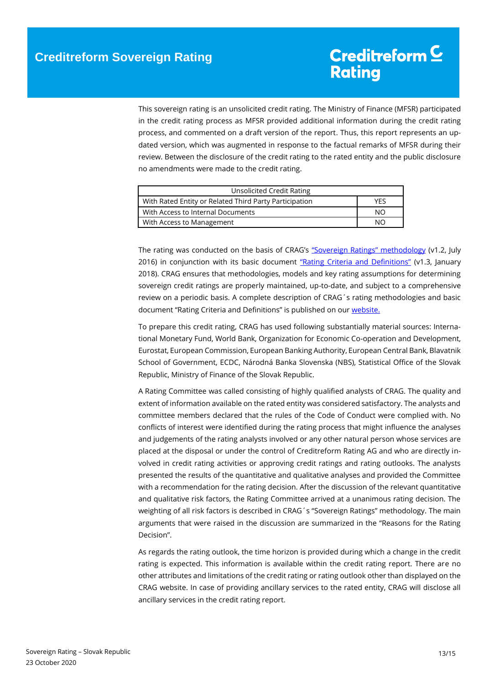This sovereign rating is an unsolicited credit rating. The Ministry of Finance (MFSR) participated in the credit rating process as MFSR provided additional information during the credit rating process, and commented on a draft version of the report. Thus, this report represents an updated version, which was augmented in response to the factual remarks of MFSR during their review. Between the disclosure of the credit rating to the rated entity and the public disclosure no amendments were made to the credit rating.

| Unsolicited Credit Rating                              |     |
|--------------------------------------------------------|-----|
| With Rated Entity or Related Third Party Participation | YFS |
| With Access to Internal Documents                      | NΟ  |
| With Access to Management                              | NΟ  |

The rating was conducted on the basis of CRAG's ["Sovereign Ratings" methodology](https://www.creditreform-rating.de/en/about-us/regulatory-requirements.html?file=files/content/downloads/Externes%20Rating/Regulatorische%20Anforderungen/EN/Ratingmethodiken%20EN/Rating%20Methodology%20Sovereign%20Ratings.pdf) (v1.2, July 2016) in conjunction with its basic document ["Rating Criteria and Definitions"](https://www.creditreform-rating.de/en/about-us/regulatory-requirements.html?file=files/content/downloads/Externes%20Rating/Regulatorische%20Anforderungen/EN/Ratingmethodiken%20EN/CRAG%20Rating%20Criteria%20and%20Definitions.pdf) (v1.3, January 2018). CRAG ensures that methodologies, models and key rating assumptions for determining sovereign credit ratings are properly maintained, up-to-date, and subject to a comprehensive review on a periodic basis. A complete description of CRAG´s rating methodologies and basic document "Rating Criteria and Definitions" is published on our [website.](https://www.creditreform-rating.de/en/about-us/regulatory-requirements.html)

To prepare this credit rating, CRAG has used following substantially material sources: International Monetary Fund, World Bank, Organization for Economic Co-operation and Development, Eurostat, European Commission, European Banking Authority, European Central Bank, Blavatnik School of Government, ECDC, Národná Banka Slovenska (NBS), Statistical Office of the Slovak Republic, Ministry of Finance of the Slovak Republic.

A Rating Committee was called consisting of highly qualified analysts of CRAG. The quality and extent of information available on the rated entity was considered satisfactory. The analysts and committee members declared that the rules of the Code of Conduct were complied with. No conflicts of interest were identified during the rating process that might influence the analyses and judgements of the rating analysts involved or any other natural person whose services are placed at the disposal or under the control of Creditreform Rating AG and who are directly involved in credit rating activities or approving credit ratings and rating outlooks. The analysts presented the results of the quantitative and qualitative analyses and provided the Committee with a recommendation for the rating decision. After the discussion of the relevant quantitative and qualitative risk factors, the Rating Committee arrived at a unanimous rating decision. The weighting of all risk factors is described in CRAG´s "Sovereign Ratings" methodology. The main arguments that were raised in the discussion are summarized in the "Reasons for the Rating Decision".

As regards the rating outlook, the time horizon is provided during which a change in the credit rating is expected. This information is available within the credit rating report. There are no other attributes and limitations of the credit rating or rating outlook other than displayed on the CRAG website. In case of providing ancillary services to the rated entity, CRAG will disclose all ancillary services in the credit rating report.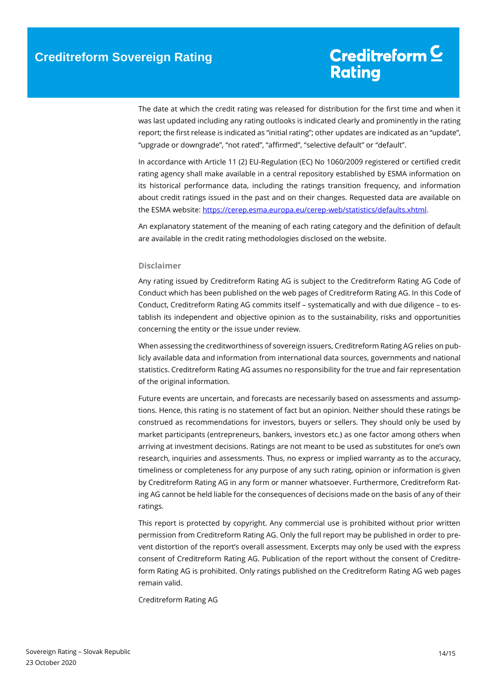The date at which the credit rating was released for distribution for the first time and when it was last updated including any rating outlooks is indicated clearly and prominently in the rating report; the first release is indicated as "initial rating"; other updates are indicated as an "update", "upgrade or downgrade", "not rated", "affirmed", "selective default" or "default".

In accordance with Article 11 (2) EU-Regulation (EC) No 1060/2009 registered or certified credit rating agency shall make available in a central repository established by ESMA information on its historical performance data, including the ratings transition frequency, and information about credit ratings issued in the past and on their changes. Requested data are available on the ESMA website[: https://cerep.esma.europa.eu/cerep-web/statistics/defaults.xhtml.](https://cerep.esma.europa.eu/cerep-web/statistics/defaults.xhtml)

An explanatory statement of the meaning of each rating category and the definition of default are available in the credit rating methodologies disclosed on the website.

### **Disclaimer**

Any rating issued by Creditreform Rating AG is subject to the Creditreform Rating AG Code of Conduct which has been published on the web pages of Creditreform Rating AG. In this Code of Conduct, Creditreform Rating AG commits itself – systematically and with due diligence – to establish its independent and objective opinion as to the sustainability, risks and opportunities concerning the entity or the issue under review.

When assessing the creditworthiness of sovereign issuers, Creditreform Rating AG relies on publicly available data and information from international data sources, governments and national statistics. Creditreform Rating AG assumes no responsibility for the true and fair representation of the original information.

Future events are uncertain, and forecasts are necessarily based on assessments and assumptions. Hence, this rating is no statement of fact but an opinion. Neither should these ratings be construed as recommendations for investors, buyers or sellers. They should only be used by market participants (entrepreneurs, bankers, investors etc.) as one factor among others when arriving at investment decisions. Ratings are not meant to be used as substitutes for one's own research, inquiries and assessments. Thus, no express or implied warranty as to the accuracy, timeliness or completeness for any purpose of any such rating, opinion or information is given by Creditreform Rating AG in any form or manner whatsoever. Furthermore, Creditreform Rating AG cannot be held liable for the consequences of decisions made on the basis of any of their ratings.

This report is protected by copyright. Any commercial use is prohibited without prior written permission from Creditreform Rating AG. Only the full report may be published in order to prevent distortion of the report's overall assessment. Excerpts may only be used with the express consent of Creditreform Rating AG. Publication of the report without the consent of Creditreform Rating AG is prohibited. Only ratings published on the Creditreform Rating AG web pages remain valid.

Creditreform Rating AG